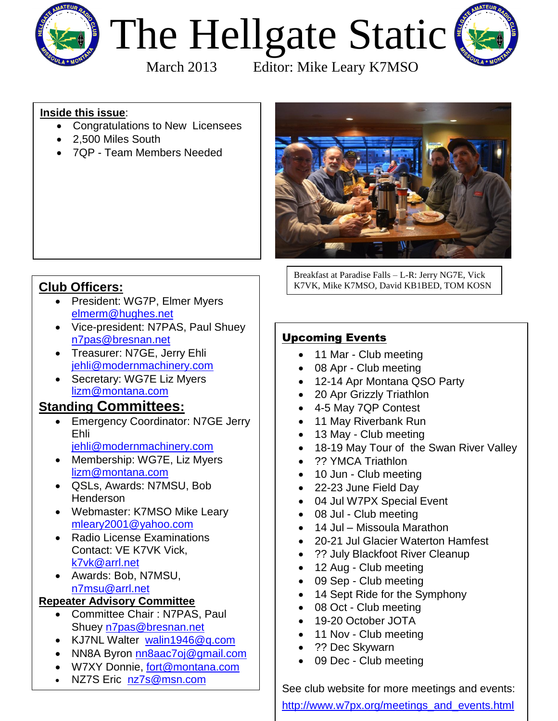

# The Hellgate Static



March 2013 Editor: Mike Leary K7MSO

## **Inside this issue**:

- Congratulations to New Licensees
- 2.500 Miles South
- 7QP Team Members Needed



Breakfast at Paradise Falls – L-R: Jerry NG7E, Vick K7VK, Mike K7MSO, David KB1BED, TOM KOSN

## **Club Officers:**

- President: WG7P, Elmer Myers [elmerm@hughes.net](mailto:elmerm@hughes.net?subject=Hellgate%20Amateur%20Radio%20Club%20Info)
- Vice-president: N7PAS, Paul Shuey [n7pas@bresnan.net](mailto:n7pas@bresnan.net?subject=Hellgate%20Amateur%20Radio%20Club%20Info)
- Treasurer: N7GE, Jerry Ehli [jehli@modernmachinery.com](mailto:jehli@modernmachinery.com?subject=Hellgate%20Amateur%20Radio%20Club%20Info)
- Secretary: WG7E Liz Myers [lizm@montana.com](mailto:lizm@montana.com?subject=Hellgate%20Amateur%20Radio%20Club%20Info)

# **Standing Committees:**

- **Emergency Coordinator: N7GE Jerry** Ehli [jehli@modernmachinery.com](mailto:jehli@modernmachinery.com?subject=Hellgate%20Amateur%20Radio%20Club%20Info)
- Membership: WG7E, Liz Myers [lizm@montana.com](mailto:lizm@montana.com?subject=Hellgate%20Amateur%20Radio%20Club%20Info)
- QSLs, Awards: N7MSU, Bob Henderson
- Webmaster: K7MSO Mike Leary [mleary2001@yahoo.com](mailto:mleary2001@yahoo.com?subject=Hellgate%20Amateur%20Radio%20Club%20Web%20Site%20Info)
- Radio License Examinations Contact: VE K7VK Vick, [k7vk@arrl.net](mailto:k7vk@arrl.net?subject=Hellgate%20Amateur%20Radio%20Club%20License%20Exams)
- Awards: Bob, N7MSU, [n7msu@arrl.net](mailto:n7msu@arrl.net)

## **Repeater Advisory Committee**

- Committee Chair : N7PAS, Paul Shuey [n7pas@bresnan.net](mailto:n7pas@bresnan.net?subject=Hellgate%20Amateur%20Radio%20Club%20Info)
- KJ7NL Walter [walin1946@q.com](mailto:walin1946@q.com)
- NN8A Byron [nn8aac7oj@gmail.com](mailto:nn8aac7oj@gmail.com?subject=Hellgate%20Amateur%20Radio%20Club%20Repeater%20Info)
- W7XY Donnie, [fort@montana.com](mailto:fort@montana.com)
- NZ7S Eric [nz7s@msn.com](mailto:nz7s@msn.com)

## Upcoming Events

- 11 Mar Club meeting
- 08 Apr Club meeting
- 12-14 Apr Montana QSO Party
- 20 Apr Grizzly Triathlon
- 4-5 May 7QP Contest
- 11 May Riverbank Run
- 13 May Club meeting
- 18-19 May Tour of the Swan River Valley
- ?? YMCA Triathlon
- 10 Jun Club meeting
- 22-23 June Field Day
- 04 Jul W7PX Special Event
- 08 Jul Club meeting
- 14 Jul Missoula Marathon
- 20-21 Jul Glacier Waterton Hamfest
- ?? July Blackfoot River Cleanup
- 12 Aug Club meeting
- 09 Sep Club meeting
- 14 Sept Ride for the Symphony
- 08 Oct Club meeting
- 19-20 October JOTA
- 11 Nov Club meeting
- ?? Dec Skywarn
- 09 Dec Club meeting

See club website for more meetings and events: [http://www.w7px.org/meetings\\_and\\_events.html](http://www.w7px.org/meetings_and_events.html)